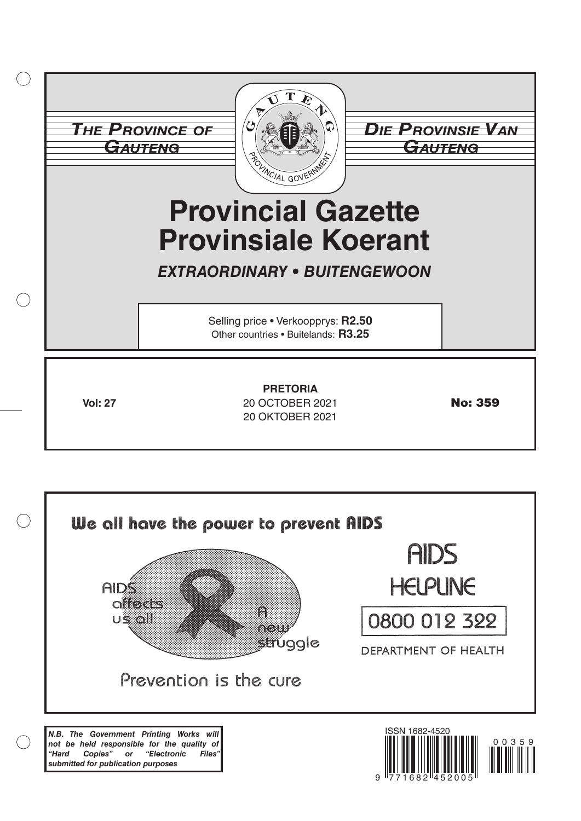|           | <b>THE PROVINCE OF</b><br>GAUTENG | <b><i>DIE PROVINSIE VAN</i></b><br>GAUTENG<br><b>Provincial Gazette</b><br><b>Provinsiale Koerant</b><br><b>EXTRAORDINARY • BUITENGEWOON</b> |                |
|-----------|-----------------------------------|----------------------------------------------------------------------------------------------------------------------------------------------|----------------|
| $\subset$ |                                   | Selling price . Verkoopprys: R2.50<br>Other countries . Buitelands: R3.25                                                                    |                |
|           | <b>Vol: 27</b>                    | <b>PRETORIA</b><br>20 OCTOBER 2021<br>20 OKTOBER 2021                                                                                        | <b>No: 359</b> |

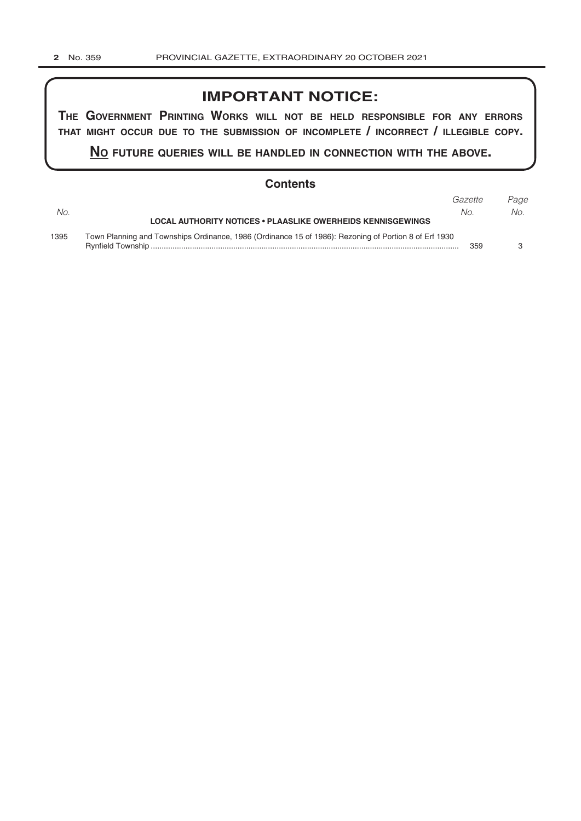# **IMPORTANT NOTICE:**

**The GovernmenT PrinTinG Works Will noT be held resPonsible for any errors ThaT miGhT occur due To The submission of incomPleTe / incorrecT / illeGible coPy.**

**no fuTure queries Will be handled in connecTion WiTh The above.**

## **Contents**

|      |                                                                                                       | Gazette | Page |  |
|------|-------------------------------------------------------------------------------------------------------|---------|------|--|
| No.  |                                                                                                       | No.     | No.  |  |
|      | <b>LOCAL AUTHORITY NOTICES • PLAASLIKE OWERHEIDS KENNISGEWINGS</b>                                    |         |      |  |
| 1395 | Town Planning and Townships Ordinance, 1986 (Ordinance 15 of 1986): Rezoning of Portion 8 of Erf 1930 |         |      |  |
|      |                                                                                                       | 359     |      |  |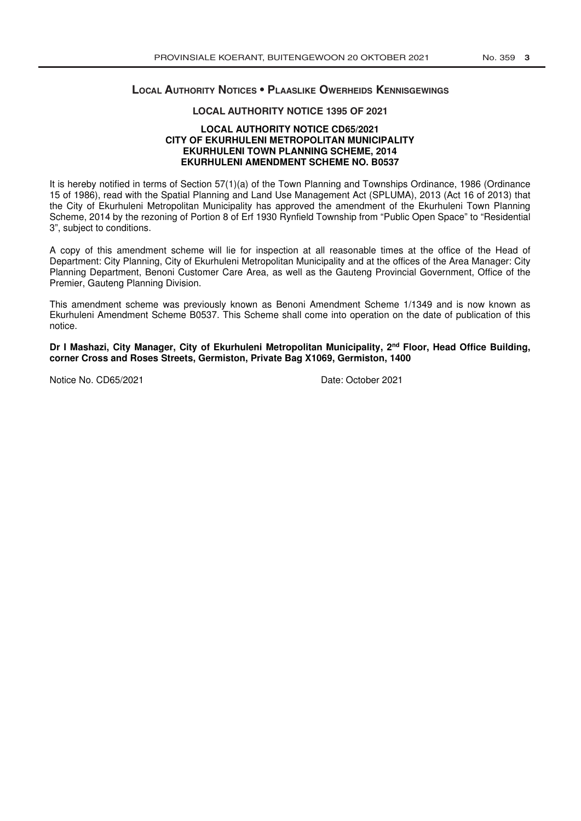## **local AuThoriTy noTices • Plaaslike OWerheids KennisGeWinGs**

### **LOCAL AUTHORITY NOTICE 1395 OF 2021**

### **LOCAL AUTHORITY NOTICE CD65/2021 CITY OF EKURHULENI METROPOLITAN MUNICIPALITY EKURHULENI TOWN PLANNING SCHEME, 2014 EKURHULENI AMENDMENT SCHEME NO. B0537**

It is hereby notified in terms of Section 57(1)(a) of the Town Planning and Townships Ordinance, 1986 (Ordinance 15 of 1986), read with the Spatial Planning and Land Use Management Act (SPLUMA), 2013 (Act 16 of 2013) that the City of Ekurhuleni Metropolitan Municipality has approved the amendment of the Ekurhuleni Town Planning Scheme, 2014 by the rezoning of Portion 8 of Erf 1930 Rynfield Township from "Public Open Space" to "Residential 3", subject to conditions.

A copy of this amendment scheme will lie for inspection at all reasonable times at the office of the Head of Department: City Planning, City of Ekurhuleni Metropolitan Municipality and at the offices of the Area Manager: City Planning Department, Benoni Customer Care Area, as well as the Gauteng Provincial Government, Office of the Premier, Gauteng Planning Division.

This amendment scheme was previously known as Benoni Amendment Scheme 1/1349 and is now known as Ekurhuleni Amendment Scheme B0537. This Scheme shall come into operation on the date of publication of this notice.

Dr I Mashazi, City Manager, City of Ekurhuleni Metropolitan Municipality, 2<sup>nd</sup> Floor, Head Office Building, **corner Cross and Roses Streets, Germiston, Private Bag X1069, Germiston, 1400** 

Notice No. CD65/2021 Date: October 2021